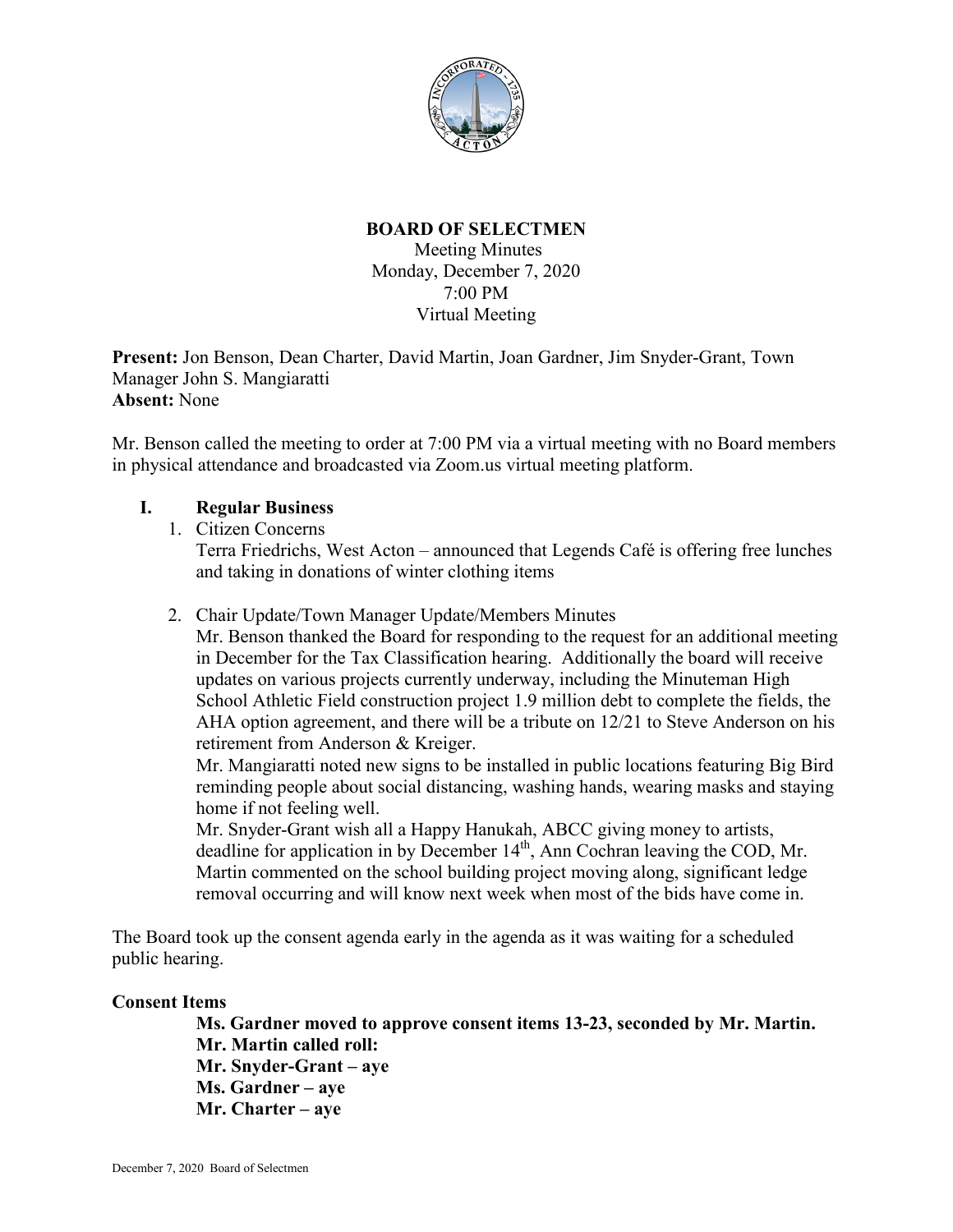

# **BOARD OF SELECTMEN**

Meeting Minutes Monday, December 7, 2020 7:00 PM Virtual Meeting

**Present:** Jon Benson, Dean Charter, David Martin, Joan Gardner, Jim Snyder-Grant, Town Manager John S. Mangiaratti **Absent:** None

Mr. Benson called the meeting to order at 7:00 PM via a virtual meeting with no Board members in physical attendance and broadcasted via Zoom.us virtual meeting platform.

# **I. Regular Business**

1. Citizen Concerns

Terra Friedrichs, West Acton – announced that Legends Café is offering free lunches and taking in donations of winter clothing items

2. Chair Update/Town Manager Update/Members Minutes

Mr. Benson thanked the Board for responding to the request for an additional meeting in December for the Tax Classification hearing. Additionally the board will receive updates on various projects currently underway, including the Minuteman High School Athletic Field construction project 1.9 million debt to complete the fields, the AHA option agreement, and there will be a tribute on 12/21 to Steve Anderson on his retirement from Anderson & Kreiger.

Mr. Mangiaratti noted new signs to be installed in public locations featuring Big Bird reminding people about social distancing, washing hands, wearing masks and staying home if not feeling well.

Mr. Snyder-Grant wish all a Happy Hanukah, ABCC giving money to artists, deadline for application in by December  $14<sup>th</sup>$ , Ann Cochran leaving the COD, Mr. Martin commented on the school building project moving along, significant ledge removal occurring and will know next week when most of the bids have come in.

The Board took up the consent agenda early in the agenda as it was waiting for a scheduled public hearing.

### **Consent Items**

**Ms. Gardner moved to approve consent items 13-23, seconded by Mr. Martin. Mr. Martin called roll: Mr. Snyder-Grant – aye Ms. Gardner – aye Mr. Charter – aye**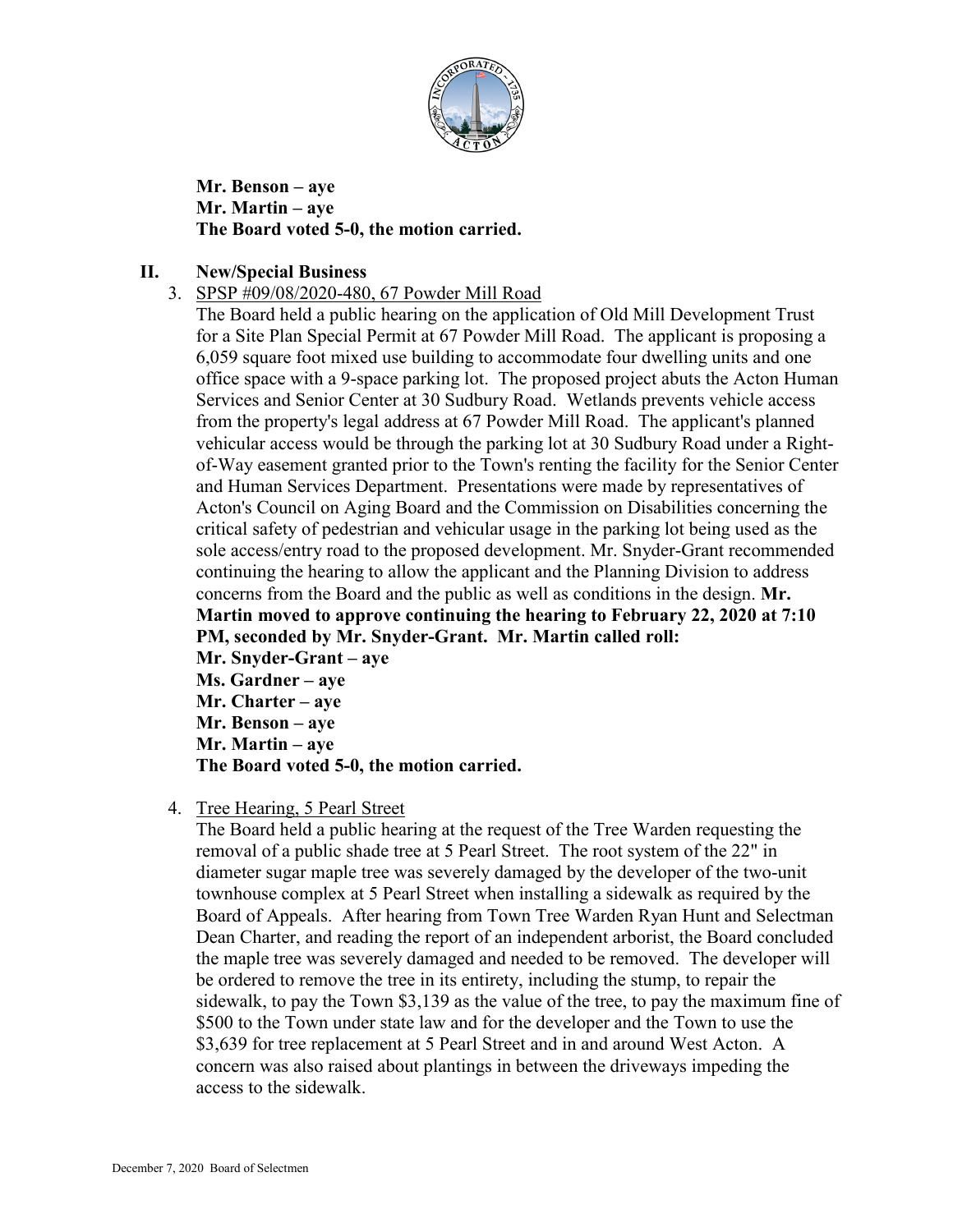

**Mr. Benson – aye Mr. Martin – aye The Board voted 5-0, the motion carried.**

## **II. New/Special Business**

3. SPSP #09/08/2020-480, 67 Powder Mill Road

The Board held a public hearing on the application of Old Mill Development Trust for a Site Plan Special Permit at 67 Powder Mill Road. The applicant is proposing a 6,059 square foot mixed use building to accommodate four dwelling units and one office space with a 9-space parking lot. The proposed project abuts the Acton Human Services and Senior Center at 30 Sudbury Road. Wetlands prevents vehicle access from the property's legal address at 67 Powder Mill Road. The applicant's planned vehicular access would be through the parking lot at 30 Sudbury Road under a Rightof-Way easement granted prior to the Town's renting the facility for the Senior Center and Human Services Department. Presentations were made by representatives of Acton's Council on Aging Board and the Commission on Disabilities concerning the critical safety of pedestrian and vehicular usage in the parking lot being used as the sole access/entry road to the proposed development. Mr. Snyder-Grant recommended continuing the hearing to allow the applicant and the Planning Division to address concerns from the Board and the public as well as conditions in the design. **Mr. Martin moved to approve continuing the hearing to February 22, 2020 at 7:10 PM, seconded by Mr. Snyder-Grant. Mr. Martin called roll: Mr. Snyder-Grant – aye Ms. Gardner – aye**

**Mr. Charter – aye Mr. Benson – aye Mr. Martin – aye The Board voted 5-0, the motion carried.**

4. Tree Hearing, 5 Pearl Street

The Board held a public hearing at the request of the Tree Warden requesting the removal of a public shade tree at 5 Pearl Street. The root system of the 22" in diameter sugar maple tree was severely damaged by the developer of the two-unit townhouse complex at 5 Pearl Street when installing a sidewalk as required by the Board of Appeals. After hearing from Town Tree Warden Ryan Hunt and Selectman Dean Charter, and reading the report of an independent arborist, the Board concluded the maple tree was severely damaged and needed to be removed. The developer will be ordered to remove the tree in its entirety, including the stump, to repair the sidewalk, to pay the Town \$3,139 as the value of the tree, to pay the maximum fine of \$500 to the Town under state law and for the developer and the Town to use the \$3,639 for tree replacement at 5 Pearl Street and in and around West Acton. A concern was also raised about plantings in between the driveways impeding the access to the sidewalk.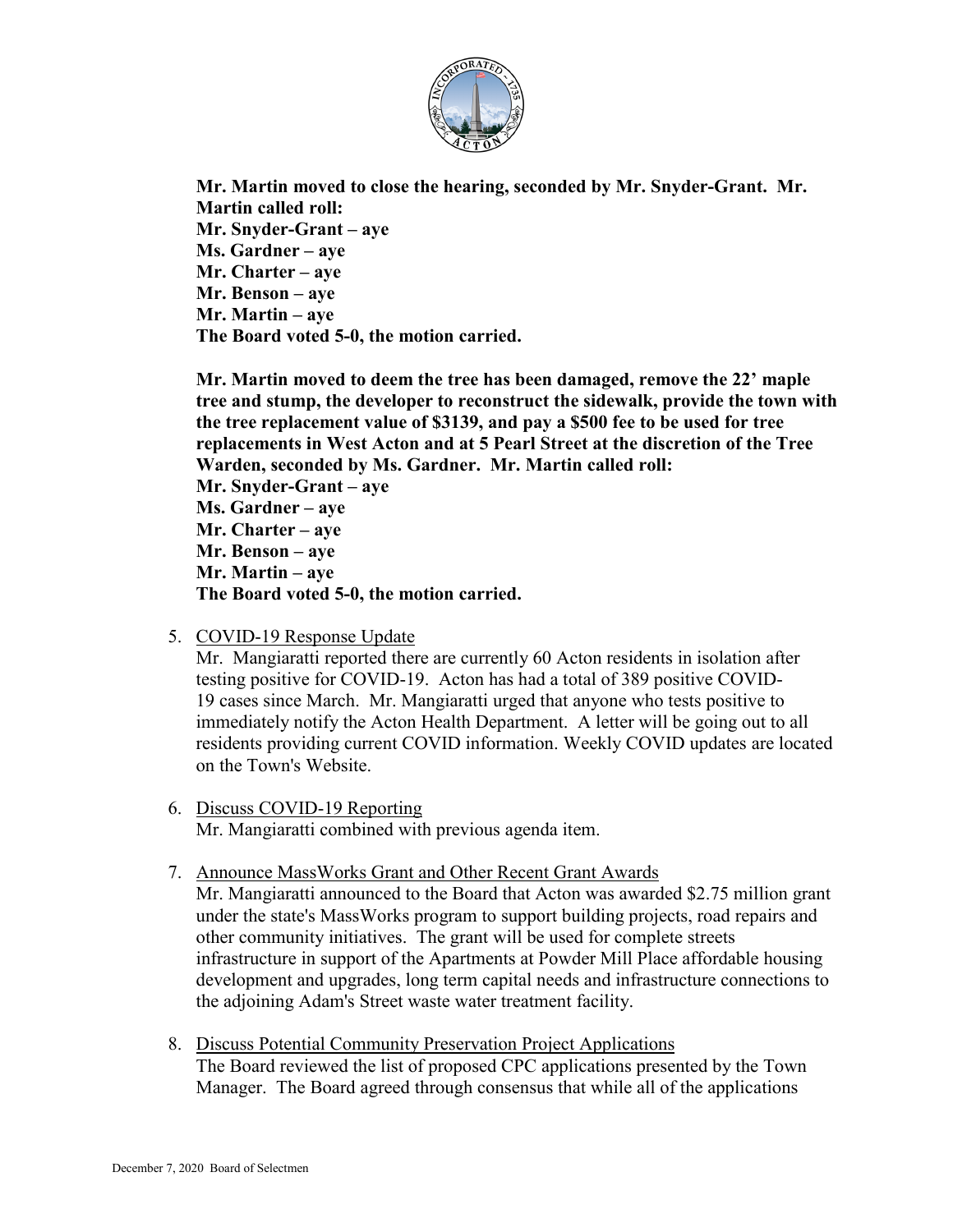

**Mr. Martin moved to close the hearing, seconded by Mr. Snyder-Grant. Mr. Martin called roll: Mr. Snyder-Grant – aye Ms. Gardner – aye Mr. Charter – aye Mr. Benson – aye Mr. Martin – aye The Board voted 5-0, the motion carried.**

**Mr. Martin moved to deem the tree has been damaged, remove the 22' maple tree and stump, the developer to reconstruct the sidewalk, provide the town with the tree replacement value of \$3139, and pay a \$500 fee to be used for tree replacements in West Acton and at 5 Pearl Street at the discretion of the Tree Warden, seconded by Ms. Gardner. Mr. Martin called roll: Mr. Snyder-Grant – aye Ms. Gardner – aye Mr. Charter – aye Mr. Benson – aye Mr. Martin – aye The Board voted 5-0, the motion carried.**

5. COVID-19 Response Update

Mr. Mangiaratti reported there are currently 60 Acton residents in isolation after testing positive for COVID-19. Acton has had a total of 389 positive COVID-19 cases since March. Mr. Mangiaratti urged that anyone who tests positive to immediately notify the Acton Health Department. A letter will be going out to all residents providing current COVID information. Weekly COVID updates are located on the Town's Website.

- 6. Discuss COVID-19 Reporting Mr. Mangiaratti combined with previous agenda item.
- 7. Announce MassWorks Grant and Other Recent Grant Awards

Mr. Mangiaratti announced to the Board that Acton was awarded \$2.75 million grant under the state's MassWorks program to support building projects, road repairs and other community initiatives. The grant will be used for complete streets infrastructure in support of the Apartments at Powder Mill Place affordable housing development and upgrades, long term capital needs and infrastructure connections to the adjoining Adam's Street waste water treatment facility.

8. Discuss Potential Community Preservation Project Applications The Board reviewed the list of proposed CPC applications presented by the Town Manager. The Board agreed through consensus that while all of the applications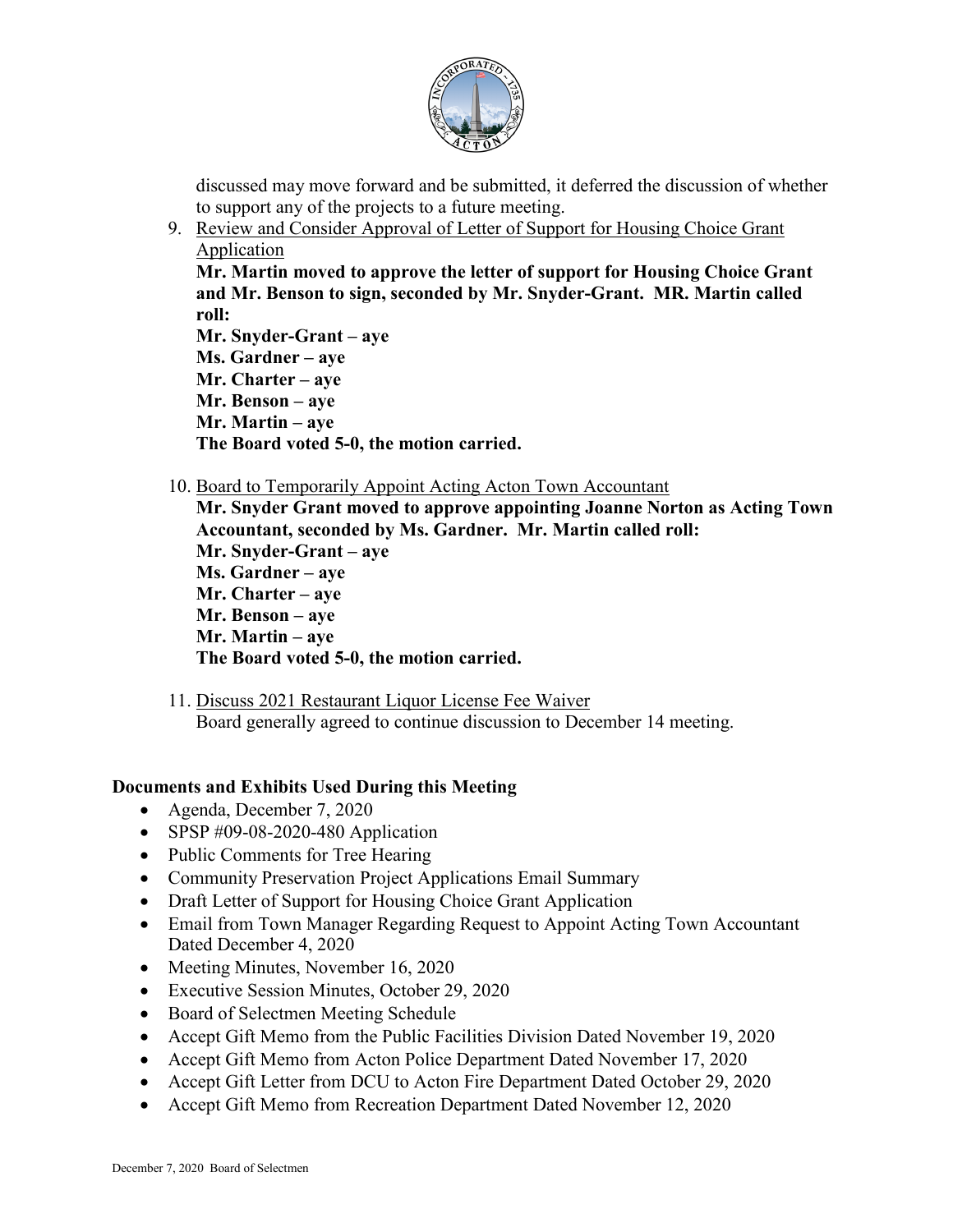

discussed may move forward and be submitted, it deferred the discussion of whether to support any of the projects to a future meeting.

9. Review and Consider Approval of Letter of Support for Housing Choice Grant Application

**Mr. Martin moved to approve the letter of support for Housing Choice Grant and Mr. Benson to sign, seconded by Mr. Snyder-Grant. MR. Martin called roll:**

**Mr. Snyder-Grant – aye Ms. Gardner – aye Mr. Charter – aye Mr. Benson – aye Mr. Martin – aye**

**The Board voted 5-0, the motion carried.**

10. Board to Temporarily Appoint Acting Acton Town Accountant

**Mr. Snyder Grant moved to approve appointing Joanne Norton as Acting Town Accountant, seconded by Ms. Gardner. Mr. Martin called roll: Mr. Snyder-Grant – aye Ms. Gardner – aye Mr. Charter – aye Mr. Benson – aye Mr. Martin – aye The Board voted 5-0, the motion carried.**

11. Discuss 2021 Restaurant Liquor License Fee Waiver Board generally agreed to continue discussion to December 14 meeting.

# **Documents and Exhibits Used During this Meeting**

- Agenda, December 7, 2020
- SPSP #09-08-2020-480 Application
- Public Comments for Tree Hearing
- Community Preservation Project Applications Email Summary
- Draft Letter of Support for Housing Choice Grant Application
- Email from Town Manager Regarding Request to Appoint Acting Town Accountant Dated December 4, 2020
- Meeting Minutes, November 16, 2020
- Executive Session Minutes, October 29, 2020
- Board of Selectmen Meeting Schedule
- Accept Gift Memo from the Public Facilities Division Dated November 19, 2020
- Accept Gift Memo from Acton Police Department Dated November 17, 2020
- Accept Gift Letter from DCU to Acton Fire Department Dated October 29, 2020
- Accept Gift Memo from Recreation Department Dated November 12, 2020